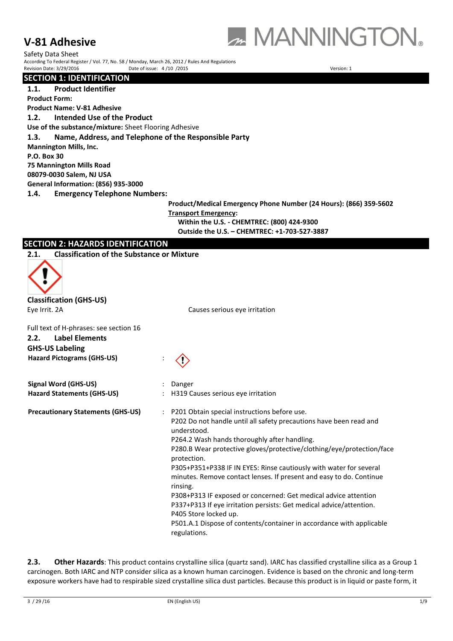# **V-81 Adhesive**



Safety Data Sheet According To Federal Register / Vol. 77, No. 58 / Monday, March 26, 2012 / Rules And Regulations Revision Date: 3/29/2016 **Date of issue:** 4/10 /2015 **Date of issue: 4/10 /2015** All Date of issue: 4/10 /2015

**SECTION 1: IDENTIFICATION**

**1.1. Product Identifier**

**Product Form:** 

**Product Name: V-81 Adhesive**

**1.2. Intended Use of the Product**

**Use of the substance/mixture:** Sheet Flooring Adhesive

**1.3. Name, Address, and Telephone of the Responsible Party**

**Mannington Mills, Inc.**

**P.O. Box 30**

**75 Mannington Mills Road**

**08079-0030 Salem, NJ USA**

**General Information: (856) 935-3000**

**1.4. Emergency Telephone Numbers:**

**Product/Medical Emergency Phone Number (24 Hours): (866) 359-5602 Transport Emergency:**

**Within the U.S. - CHEMTREC: (800) 424-9300 Outside the U.S. – CHEMTREC: +1-703-527-3887**

# **SECTION 2: HAZARDS IDENTIFICATION**

**2.1. Classification of the Substance or Mixture**



**Classification (GHS-US)**

**Hazard Pictograms (GHS-US)** :

**GHS-US Labeling**

Eye Irrit. 2A Causes serious eye irritation

Full text of H-phrases: see section 16 **2.2. Label Elements**

| Signal Word (GHS-US)                     | Danger                                                                                                                                                                                                                                                                                                                                                                                                                                                                                                                                                                                                                                                                                                                |
|------------------------------------------|-----------------------------------------------------------------------------------------------------------------------------------------------------------------------------------------------------------------------------------------------------------------------------------------------------------------------------------------------------------------------------------------------------------------------------------------------------------------------------------------------------------------------------------------------------------------------------------------------------------------------------------------------------------------------------------------------------------------------|
| <b>Hazard Statements (GHS-US)</b>        | H319 Causes serious eye irritation                                                                                                                                                                                                                                                                                                                                                                                                                                                                                                                                                                                                                                                                                    |
| <b>Precautionary Statements (GHS-US)</b> | P201 Obtain special instructions before use.<br>$\ddot{\phantom{a}}$<br>P202 Do not handle until all safety precautions have been read and<br>understood.<br>P264.2 Wash hands thoroughly after handling.<br>P280.B Wear protective gloves/protective/clothing/eye/protection/face<br>protection.<br>P305+P351+P338 IF IN EYES: Rinse cautiously with water for several<br>minutes. Remove contact lenses. If present and easy to do. Continue<br>rinsing.<br>P308+P313 IF exposed or concerned: Get medical advice attention<br>P337+P313 If eye irritation persists: Get medical advice/attention.<br>P405 Store locked up.<br>P501.A.1 Dispose of contents/container in accordance with applicable<br>regulations. |

**2.3. Other Hazards**: This product contains crystalline silica (quartz sand). IARC has classified crystalline silica as a Group 1 carcinogen. Both IARC and NTP consider silica as a known human carcinogen. Evidence is based on the chronic and long-term exposure workers have had to respirable sized crystalline silica dust particles. Because this product is in liquid or paste form, it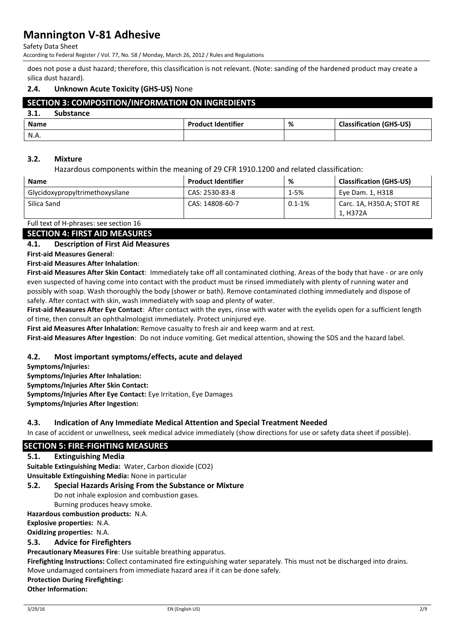Safety Data Sheet

According to Federal Register / Vol. 77, No. 58 / Monday, March 26, 2012 / Rules and Regulations

does not pose a dust hazard; therefore, this classification is not relevant. (Note: sanding of the hardened product may create a silica dust hazard).

# **2.4. Unknown Acute Toxicity (GHS-US)** None

# **SECTION 3: COMPOSITION/INFORMATION ON INGREDIENTS**

| <b>Substance</b><br>J.L. |                           |   |                                |
|--------------------------|---------------------------|---|--------------------------------|
| <b>Name</b>              | <b>Product Identifier</b> | % | <b>Classification (GHS-US)</b> |
| N.A.                     |                           |   |                                |

#### **3.2. Mixture**

Hazardous components within the meaning of 29 CFR 1910.1200 and related classification:

| <b>Name</b>                     | <b>Product Identifier</b> | %          | <b>Classification (GHS-US)</b>        |
|---------------------------------|---------------------------|------------|---------------------------------------|
| Glycidoxypropyltrimethoxysilane | CAS: 2530-83-8            | 1-5%       | Eye Dam. 1, H318                      |
| Silica Sand                     | CAS: 14808-60-7           | $0.1 - 1%$ | Carc. 1A, H350.A; STOT RE<br>1. H372A |

Full text of H-phrases: see section 16

## **SECTION 4: FIRST AID MEASURES**

#### **4.1. Description of First Aid Measures**

**First-aid Measures General**:

# **First-aid Measures After Inhalation**:

**First-aid Measures After Skin Contact**: Immediately take off all contaminated clothing. Areas of the body that have - or are only even suspected of having come into contact with the product must be rinsed immediately with plenty of running water and possibly with soap. Wash thoroughly the body (shower or bath). Remove contaminated clothing immediately and dispose of safely. After contact with skin, wash immediately with soap and plenty of water.

**First-aid Measures After Eye Contact**: After contact with the eyes, rinse with water with the eyelids open for a sufficient length of time, then consult an ophthalmologist immediately. Protect uninjured eye.

**First aid Measures After Inhalation:** Remove casualty to fresh air and keep warm and at rest.

**First-aid Measures After Ingestion**: Do not induce vomiting. Get medical attention, showing the SDS and the hazard label.

# **4.2. Most important symptoms/effects, acute and delayed**

**Symptoms/Injuries:** 

**Symptoms/Injuries After Inhalation:**

**Symptoms/Injuries After Skin Contact:**

**Symptoms/Injuries After Eye Contact:** Eye Irritation, Eye Damages

**Symptoms/Injuries After Ingestion:** 

#### **4.3. Indication of Any Immediate Medical Attention and Special Treatment Needed**

In case of accident or unwellness, seek medical advice immediately (show directions for use or safety data sheet if possible).

# **SECTION 5: FIRE-FIGHTING MEASURES**

#### **5.1. Extinguishing Media**

**Suitable Extinguishing Media:** Water, Carbon dioxide (CO2) **Unsuitable Extinguishing Media:** None in particular

#### **5.2. Special Hazards Arising From the Substance or Mixture**

Do not inhale explosion and combustion gases. Burning produces heavy smoke.

#### **Hazardous combustion products:** N.A.

**Explosive properties:** N.A.

**Oxidizing properties:** N.A.

# **5.3. Advice for Firefighters**

**Precautionary Measures Fire**: Use suitable breathing apparatus.

**Firefighting Instructions:** Collect contaminated fire extinguishing water separately. This must not be discharged into drains. Move undamaged containers from immediate hazard area if it can be done safely.

**Protection During Firefighting:** 

**Other Information:**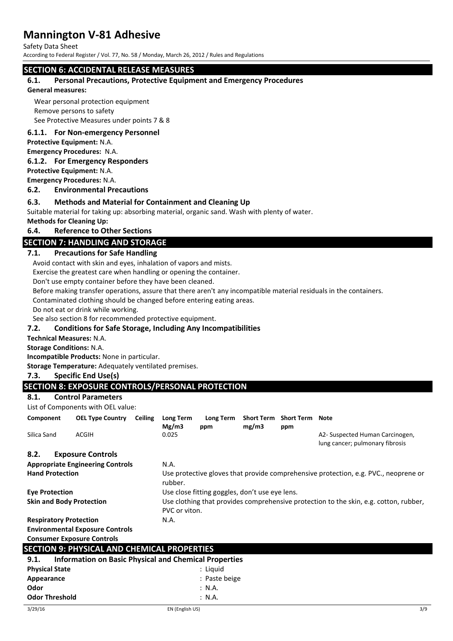Safety Data Sheet

According to Federal Register / Vol. 77, No. 58 / Monday, March 26, 2012 / Rules and Regulations

# **SECTION 6: ACCIDENTAL RELEASE MEASURES**

#### **6.1. Personal Precautions, Protective Equipment and Emergency Procedures**

#### **General measures:**

Wear personal protection equipment Remove persons to safety See Protective Measures under points 7 & 8

### **6.1.1. For Non-emergency Personnel**

**Protective Equipment:** N.A.

**Emergency Procedures:** N.A.

#### **6.1.2. For Emergency Responders**

**Protective Equipment:** N.A.

**Emergency Procedures:** N.A.

#### **6.2. Environmental Precautions**

# **6.3. Methods and Material for Containment and Cleaning Up**

Suitable material for taking up: absorbing material, organic sand. Wash with plenty of water.

**Methods for Cleaning Up:**

#### **6.4. Reference to Other Sections**

# **SECTION 7: HANDLING AND STORAGE**

# **7.1. Precautions for Safe Handling**

Avoid contact with skin and eyes, inhalation of vapors and mists.

Exercise the greatest care when handling or opening the container.

Don't use empty container before they have been cleaned.

Before making transfer operations, assure that there aren't any incompatible material residuals in the containers.

Contaminated clothing should be changed before entering eating areas.

Do not eat or drink while working.

See also section 8 for recommended protective equipment.

#### **7.2. Conditions for Safe Storage, Including Any Incompatibilities**

**Technical Measures:** N.A.

**Storage Conditions:** N.A.

**Incompatible Products:** None in particular.

**Storage Temperature:** Adequately ventilated premises.

#### **7.3. Specific End Use(s)**

# **SECTION 8: EXPOSURE CONTROLS/PERSONAL PROTECTION**

**8.1. Control Parameters**

List of Components with OEL value:

| Component                                                | <b>OEL Type Country</b>                                             | <b>Ceiling</b> | Long Term<br>Mg/m3                                                                                                                                       | Long Term<br>ppm | <b>Short Term</b><br>mg/m3 | <b>Short Term Note</b><br>ppm |                                                                                     |
|----------------------------------------------------------|---------------------------------------------------------------------|----------------|----------------------------------------------------------------------------------------------------------------------------------------------------------|------------------|----------------------------|-------------------------------|-------------------------------------------------------------------------------------|
| Silica Sand                                              | ACGIH                                                               |                | 0.025                                                                                                                                                    |                  |                            |                               | A2- Suspected Human Carcinogen,<br>lung cancer; pulmonary fibrosis                  |
| 8.2.<br><b>Hand Protection</b>                           | <b>Exposure Controls</b><br><b>Appropriate Engineering Controls</b> |                | N.A.<br>rubber.                                                                                                                                          |                  |                            |                               | Use protective gloves that provide comprehensive protection, e.g. PVC., neoprene or |
| <b>Eye Protection</b><br><b>Skin and Body Protection</b> |                                                                     |                | Use close fitting goggles, don't use eye lens.<br>Use clothing that provides comprehensive protection to the skin, e.g. cotton, rubber,<br>PVC or viton. |                  |                            |                               |                                                                                     |
| <b>Respiratory Protection</b>                            |                                                                     |                | N.A.                                                                                                                                                     |                  |                            |                               |                                                                                     |
|                                                          | <b>Environmental Exposure Controls</b>                              |                |                                                                                                                                                          |                  |                            |                               |                                                                                     |
|                                                          | <b>Consumer Exposure Controls</b>                                   |                |                                                                                                                                                          |                  |                            |                               |                                                                                     |
|                                                          | <b>SECTION 9: PHYSICAL AND CHEMICAL PROPERTIES</b>                  |                |                                                                                                                                                          |                  |                            |                               |                                                                                     |
| 9.1.                                                     | <b>Information on Basic Physical and Chemical Properties</b>        |                |                                                                                                                                                          |                  |                            |                               |                                                                                     |
| <b>Physical State</b>                                    |                                                                     |                |                                                                                                                                                          | : Liquid         |                            |                               |                                                                                     |
| Appearance                                               |                                                                     |                |                                                                                                                                                          | : Paste beige    |                            |                               |                                                                                     |
| Odor                                                     |                                                                     |                |                                                                                                                                                          | : N.A.           |                            |                               |                                                                                     |
| <b>Odor Threshold</b>                                    |                                                                     |                |                                                                                                                                                          | : N.A.           |                            |                               |                                                                                     |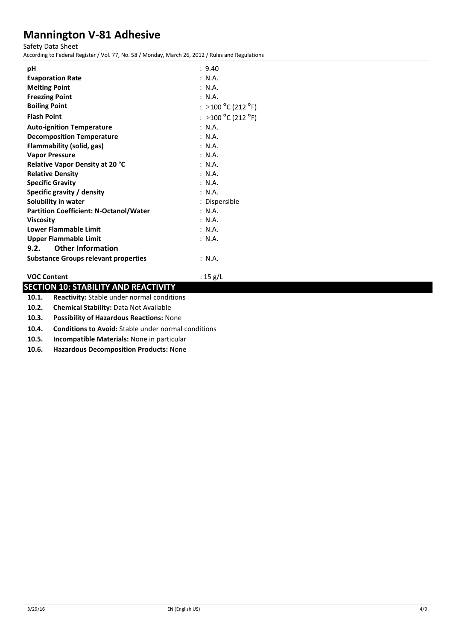Safety Data Sheet

According to Federal Register / Vol. 77, No. 58 / Monday, March 26, 2012 / Rules and Regulations

| рH                                            | : 9.40                                           |
|-----------------------------------------------|--------------------------------------------------|
| <b>Evaporation Rate</b>                       | : N.A.                                           |
| <b>Melting Point</b>                          | : N.A.                                           |
| <b>Freezing Point</b>                         | : N.A.                                           |
| <b>Boiling Point</b>                          | : >100 <sup>o</sup> C (212 <sup>o</sup> F)       |
| <b>Flash Point</b>                            | $\colon$ $>$ 100 $^{\circ}$ C (212 $^{\circ}$ F) |
| <b>Auto-ignition Temperature</b>              | : N.A.                                           |
| <b>Decomposition Temperature</b>              | : N.A.                                           |
| Flammability (solid, gas)                     | : N.A.                                           |
| <b>Vapor Pressure</b>                         | : N.A.                                           |
| <b>Relative Vapor Density at 20 °C</b>        | : N.A.                                           |
| <b>Relative Density</b>                       | : N.A.                                           |
| <b>Specific Gravity</b>                       | : N.A.                                           |
| Specific gravity / density                    | : N.A.                                           |
| Solubility in water                           | : Dispersible                                    |
| <b>Partition Coefficient: N-Octanol/Water</b> | : N.A.                                           |
| <b>Viscosity</b>                              | : N.A.                                           |
| <b>Lower Flammable Limit</b>                  | : N.A.                                           |
| Upper Flammable Limit                         | : N.A.                                           |
| <b>Other Information</b><br>9.2.              |                                                  |
| <b>Substance Groups relevant properties</b>   | : N.A.                                           |
| <b>VOC Content</b>                            | : 15 g/L                                         |

# **SECTION 10: STABILITY AND REACTIVITY**

**10.1. Reactivity:** Stable under normal conditions

**10.2. Chemical Stability:** Data Not Available

**10.3. Possibility of Hazardous Reactions:** None

**10.4. Conditions to Avoid:** Stable under normal conditions

**10.5. Incompatible Materials:** None in particular

**10.6. Hazardous Decomposition Products:** None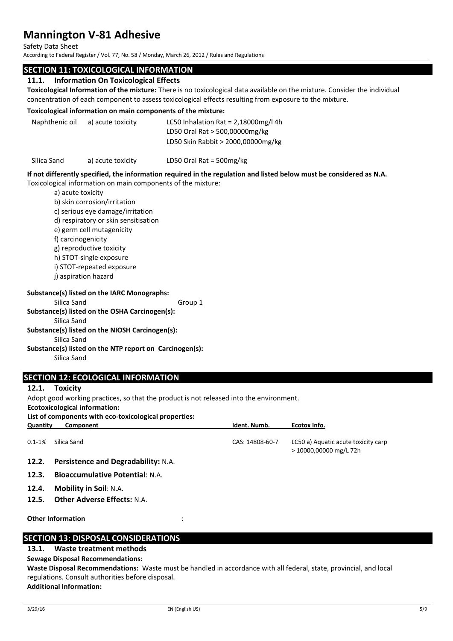Safety Data Sheet

According to Federal Register / Vol. 77, No. 58 / Monday, March 26, 2012 / Rules and Regulations

# **SECTION 11: TOXICOLOGICAL INFORMATION**

#### **11.1. Information On Toxicological Effects**

**Toxicological Information of the mixture:** There is no toxicological data available on the mixture. Consider the individual concentration of each component to assess toxicological effects resulting from exposure to the mixture.

#### **Toxicological information on main components of the mixture:**

Naphthenic oil a) acute toxicity LC50 Inhalation Rat = 2,18000mg/l 4h LD50 Oral Rat > 500,00000mg/kg LD50 Skin Rabbit > 2000,00000mg/kg

Silica Sand a) acute toxicity LD50 Oral Rat = 500mg/kg

#### **If not differently specified, the information required in the regulation and listed below must be considered as N.A.** Toxicological information on main components of the mixture:

a) acute toxicity

- b) skin corrosion/irritation
- c) serious eye damage/irritation
- d) respiratory or skin sensitisation
- e) germ cell mutagenicity
- f) carcinogenicity
- g) reproductive toxicity
- h) STOT-single exposure
- i) STOT-repeated exposure
- j) aspiration hazard

#### **Substance(s) listed on the IARC Monographs:**

Silica Sand Group 1

# **Substance(s) listed on the OSHA Carcinogen(s):**

Silica Sand

#### **Substance(s) listed on the NIOSH Carcinogen(s):**

Silica Sand

#### **Substance(s) listed on the NTP report on Carcinogen(s):**

Silica Sand

# **SECTION 12: ECOLOGICAL INFORMATION**

#### **12.1. Toxicity**

Adopt good working practices, so that the product is not released into the environment.

**Ecotoxicological information:**

**List of components with eco-toxicological properties:**

| Quantity    | Component                                  | Ident. Numb.    | Ecotox Info.                                                  |
|-------------|--------------------------------------------|-----------------|---------------------------------------------------------------|
| $0.1 - 1\%$ | Silica Sand                                | CAS: 14808-60-7 | LC50 a) Aquatic acute toxicity carp<br>> 10000,00000 mg/L 72h |
| 12.2.       | <b>Persistence and Degradability: N.A.</b> |                 |                                                               |
| 12.3.       | <b>Bioaccumulative Potential: N.A.</b>     |                 |                                                               |
| 12.4.       | <b>Mobility in Soil: N.A.</b>              |                 |                                                               |
| 12.5.       | <b>Other Adverse Effects: N.A.</b>         |                 |                                                               |
|             |                                            |                 |                                                               |

**Other Information** :

# **SECTION 13: DISPOSAL CONSIDERATIONS**

# **13.1. Waste treatment methods**

#### **Sewage Disposal Recommendations:**

**Waste Disposal Recommendations:** Waste must be handled in accordance with all federal, state, provincial, and local regulations. Consult authorities before disposal. **Additional Information:**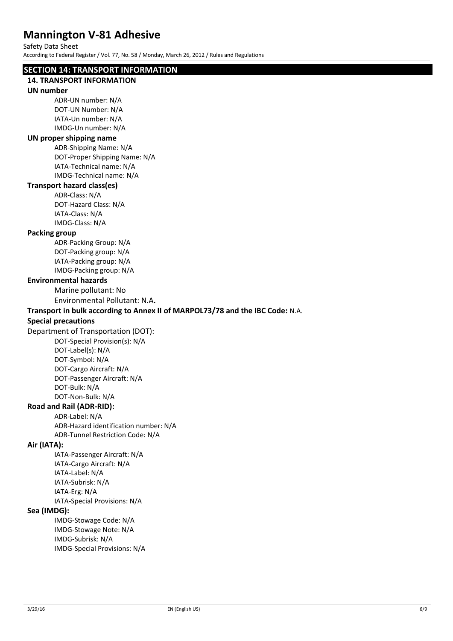Safety Data Sheet

According to Federal Register / Vol. 77, No. 58 / Monday, March 26, 2012 / Rules and Regulations

# **SECTION 14: TRANSPORT INFORMATION**

# **14. TRANSPORT INFORMATION**

# **UN number**

ADR-UN number: N/A DOT-UN Number: N/A IATA-Un number: N/A IMDG-Un number: N/A

### **UN proper shipping name**

ADR-Shipping Name: N/A DOT-Proper Shipping Name: N/A IATA-Technical name: N/A IMDG-Technical name: N/A

# **Transport hazard class(es)**

ADR-Class: N/A DOT-Hazard Class: N/A IATA-Class: N/A IMDG-Class: N/A

## **Packing group**

ADR-Packing Group: N/A DOT-Packing group: N/A IATA-Packing group: N/A IMDG-Packing group: N/A

# **Environmental hazards**

Marine pollutant: No

Environmental Pollutant: N.A**.**

# **Transport in bulk according to Annex II of MARPOL73/78 and the IBC Code:** N.A.

# **Special precautions**

Department of Transportation (DOT):

DOT-Special Provision(s): N/A DOT-Label(s): N/A DOT-Symbol: N/A DOT-Cargo Aircraft: N/A DOT-Passenger Aircraft: N/A DOT-Bulk: N/A DOT-Non-Bulk: N/A

# **Road and Rail (ADR-RID):**

ADR-Label: N/A ADR-Hazard identification number: N/A ADR-Tunnel Restriction Code: N/A

# **Air (IATA):**

IATA-Passenger Aircraft: N/A IATA-Cargo Aircraft: N/A IATA-Label: N/A IATA-Subrisk: N/A IATA-Erg: N/A IATA-Special Provisions: N/A

#### **Sea (IMDG):**

IMDG-Stowage Code: N/A IMDG-Stowage Note: N/A IMDG-Subrisk: N/A IMDG-Special Provisions: N/A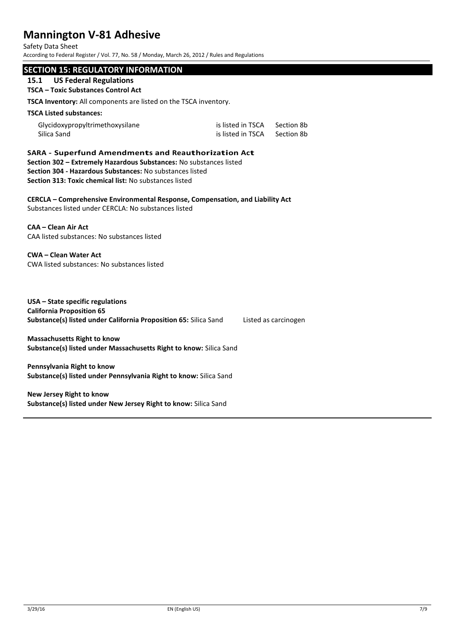Safety Data Sheet

According to Federal Register / Vol. 77, No. 58 / Monday, March 26, 2012 / Rules and Regulations

# **SECTION 15: REGULATORY INFORMATION**

# **15.1 US Federal Regulations**

# **TSCA – Toxic Substances Control Act**

**TSCA Inventory:** All components are listed on the TSCA inventory.

#### **TSCA Listed substances:**

| Glycidoxypropyltrimethoxysilane | is listed in TSCA | Section 8b |
|---------------------------------|-------------------|------------|
| Silica Sand                     | is listed in TSCA | Section 8b |

**SARA - Superfund Amendments and Reauthorization Act Section 302 – Extremely Hazardous Substances:** No substances listed **Section 304 - Hazardous Substances:** No substances listed **Section 313: Toxic chemical list:** No substances listed

**CERCLA – Comprehensive Environmental Response, Compensation, and Liability Act** Substances listed under CERCLA: No substances listed

# **CAA – Clean Air Act**

CAA listed substances: No substances listed

**CWA – Clean Water Act** CWA listed substances: No substances listed

**USA – State specific regulations California Proposition 65 Substance(s) listed under California Proposition 65:** Silica Sand Listed as carcinogen

**Massachusetts Right to know Substance(s) listed under Massachusetts Right to know:** Silica Sand

**Pennsylvania Right to know Substance(s) listed under Pennsylvania Right to know:** Silica Sand

**New Jersey Right to know Substance(s) listed under New Jersey Right to know:** Silica Sand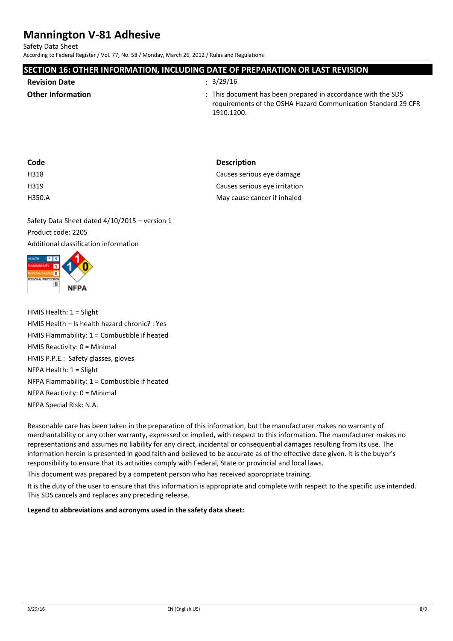Safety Data Sheet

According to Federal Register / Vol. 77, No. 58 / Monday, March 26, 2012 / Rules and Regulations

| SECTION 16: OTHER INFORMATION, INCLUDING DATE OF PREPARATION OR LAST REVISION |                                                                                                                                             |  |
|-------------------------------------------------------------------------------|---------------------------------------------------------------------------------------------------------------------------------------------|--|
| <b>Revision Date</b>                                                          | : 3/29/16                                                                                                                                   |  |
| <b>Other Information</b>                                                      | : This document has been prepared in accordance with the SDS<br>requirements of the OSHA Hazard Communication Standard 29 CFR<br>1910.1200. |  |

| <b>Description</b>            |
|-------------------------------|
| Causes serious eye damage     |
| Causes serious eye irritation |
| May cause cancer if inhaled   |
|                               |

Safety Data Sheet dated 4/10/2015 – version 1 Product code: 2205 Additional classification information



HMIS Health: 1 = Slight HMIS Health – Is health hazard chronic? : Yes HMIS Flammability: 1 = Combustible if heated HMIS Reactivity: 0 = Minimal HMIS P.P.E.: Safety glasses, gloves NFPA Health: 1 = Slight NFPA Flammability: 1 = Combustible if heated NFPA Reactivity: 0 = Minimal NFPA Special Risk: N.A.

Reasonable care has been taken in the preparation of this information, but the manufacturer makes no warranty of merchantability or any other warranty, expressed or implied, with respect to this information. The manufacturer makes no representations and assumes no liability for any direct, incidental or consequential damages resulting from its use. The information herein is presented in good faith and believed to be accurate as of the effective date given. It is the buyer's responsibility to ensure that its activities comply with Federal, State or provincial and local laws.

This document was prepared by a competent person who has received appropriate training.

It is the duty of the user to ensure that this information is appropriate and complete with respect to the specific use intended. This SDS cancels and replaces any preceding release.

**Legend to abbreviations and acronyms used in the safety data sheet:**